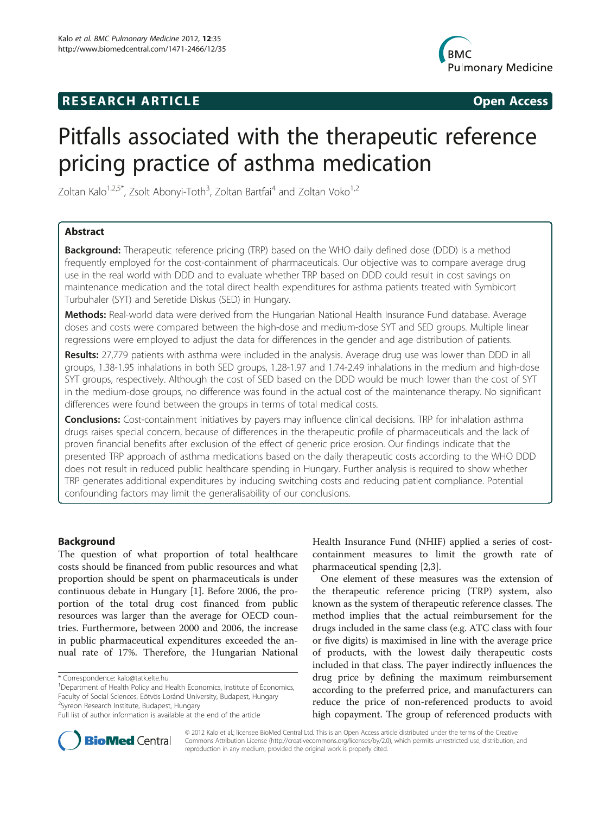## **RESEARCH ARTICLE Example 2018 12:00 Open Access**



# Pitfalls associated with the therapeutic reference pricing practice of asthma medication

Zoltan Kalo<sup>1,2,5\*</sup>, Zsolt Abonyi-Toth<sup>3</sup>, Zoltan Bartfai<sup>4</sup> and Zoltan Voko<sup>1,2</sup>

## Abstract

**Background:** Therapeutic reference pricing (TRP) based on the WHO daily defined dose (DDD) is a method frequently employed for the cost-containment of pharmaceuticals. Our objective was to compare average drug use in the real world with DDD and to evaluate whether TRP based on DDD could result in cost savings on maintenance medication and the total direct health expenditures for asthma patients treated with Symbicort Turbuhaler (SYT) and Seretide Diskus (SED) in Hungary.

Methods: Real-world data were derived from the Hungarian National Health Insurance Fund database. Average doses and costs were compared between the high-dose and medium-dose SYT and SED groups. Multiple linear regressions were employed to adjust the data for differences in the gender and age distribution of patients.

Results: 27,779 patients with asthma were included in the analysis. Average drug use was lower than DDD in all groups, 1.38-1.95 inhalations in both SED groups, 1.28-1.97 and 1.74-2.49 inhalations in the medium and high-dose SYT groups, respectively. Although the cost of SED based on the DDD would be much lower than the cost of SYT in the medium-dose groups, no difference was found in the actual cost of the maintenance therapy. No significant differences were found between the groups in terms of total medical costs.

**Conclusions:** Cost-containment initiatives by payers may influence clinical decisions. TRP for inhalation asthma drugs raises special concern, because of differences in the therapeutic profile of pharmaceuticals and the lack of proven financial benefits after exclusion of the effect of generic price erosion. Our findings indicate that the presented TRP approach of asthma medications based on the daily therapeutic costs according to the WHO DDD does not result in reduced public healthcare spending in Hungary. Further analysis is required to show whether TRP generates additional expenditures by inducing switching costs and reducing patient compliance. Potential confounding factors may limit the generalisability of our conclusions.

## Background

The question of what proportion of total healthcare costs should be financed from public resources and what proportion should be spent on pharmaceuticals is under continuous debate in Hungary [[1\]](#page-5-0). Before 2006, the proportion of the total drug cost financed from public resources was larger than the average for OECD countries. Furthermore, between 2000 and 2006, the increase in public pharmaceutical expenditures exceeded the annual rate of 17%. Therefore, the Hungarian National

Health Insurance Fund (NHIF) applied a series of costcontainment measures to limit the growth rate of pharmaceutical spending [[2,3\]](#page-5-0).

One element of these measures was the extension of the therapeutic reference pricing (TRP) system, also known as the system of therapeutic reference classes. The method implies that the actual reimbursement for the drugs included in the same class (e.g. ATC class with four or five digits) is maximised in line with the average price of products, with the lowest daily therapeutic costs included in that class. The payer indirectly influences the drug price by defining the maximum reimbursement according to the preferred price, and manufacturers can reduce the price of non-referenced products to avoid high copayment. The group of referenced products with



© 2012 Kalo et al.; licensee BioMed Central Ltd. This is an Open Access article distributed under the terms of the Creative Commons Attribution License [\(http://creativecommons.org/licenses/by/2.0\)](http://creativecommons.org/licenses/by/2.0), which permits unrestricted use, distribution, and reproduction in any medium, provided the original work is properly cited.

<sup>\*</sup> Correspondence: [kalo@tatk.elte.hu](mailto:kalo@tatk.elte.hu) <sup>1</sup>

<sup>&</sup>lt;sup>1</sup>Department of Health Policy and Health Economics, Institute of Economics, Faculty of Social Sciences, Eötvös Loránd University, Budapest, Hungary <sup>2</sup>Syreon Research Institute, Budapest, Hungary

Full list of author information is available at the end of the article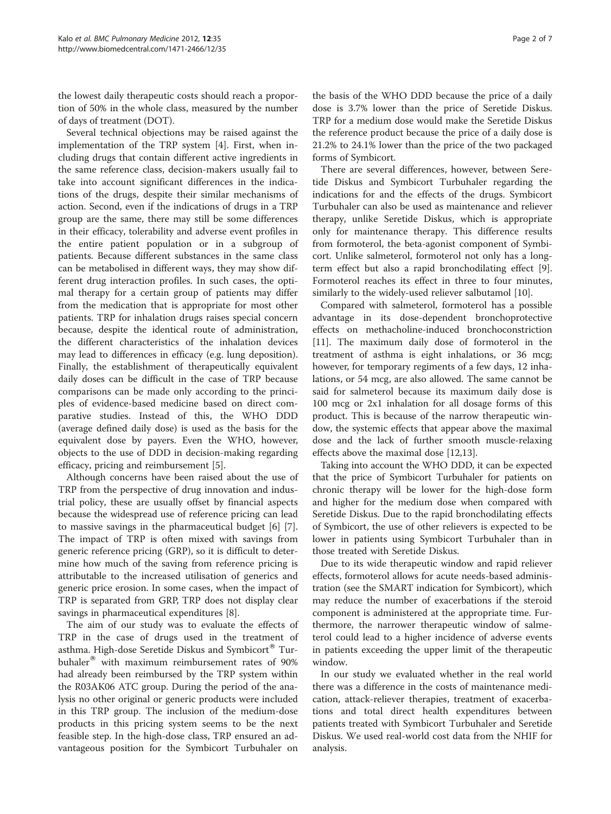the lowest daily therapeutic costs should reach a proportion of 50% in the whole class, measured by the number of days of treatment (DOT).

Several technical objections may be raised against the implementation of the TRP system [[4\]](#page-5-0). First, when including drugs that contain different active ingredients in the same reference class, decision-makers usually fail to take into account significant differences in the indications of the drugs, despite their similar mechanisms of action. Second, even if the indications of drugs in a TRP group are the same, there may still be some differences in their efficacy, tolerability and adverse event profiles in the entire patient population or in a subgroup of patients. Because different substances in the same class can be metabolised in different ways, they may show different drug interaction profiles. In such cases, the optimal therapy for a certain group of patients may differ from the medication that is appropriate for most other patients. TRP for inhalation drugs raises special concern because, despite the identical route of administration, the different characteristics of the inhalation devices may lead to differences in efficacy (e.g. lung deposition). Finally, the establishment of therapeutically equivalent daily doses can be difficult in the case of TRP because comparisons can be made only according to the principles of evidence-based medicine based on direct comparative studies. Instead of this, the WHO DDD (average defined daily dose) is used as the basis for the equivalent dose by payers. Even the WHO, however, objects to the use of DDD in decision-making regarding efficacy, pricing and reimbursement [[5\]](#page-5-0).

Although concerns have been raised about the use of TRP from the perspective of drug innovation and industrial policy, these are usually offset by financial aspects because the widespread use of reference pricing can lead to massive savings in the pharmaceutical budget [\[6](#page-5-0)] [\[7](#page-5-0)]. The impact of TRP is often mixed with savings from generic reference pricing (GRP), so it is difficult to determine how much of the saving from reference pricing is attributable to the increased utilisation of generics and generic price erosion. In some cases, when the impact of TRP is separated from GRP, TRP does not display clear savings in pharmaceutical expenditures [\[8](#page-5-0)].

The aim of our study was to evaluate the effects of TRP in the case of drugs used in the treatment of asthma. High-dose Seretide Diskus and Symbicort<sup>®</sup> Turbuhaler<sup>®</sup> with maximum reimbursement rates of  $90\%$ had already been reimbursed by the TRP system within the R03AK06 ATC group. During the period of the analysis no other original or generic products were included in this TRP group. The inclusion of the medium-dose products in this pricing system seems to be the next feasible step. In the high-dose class, TRP ensured an advantageous position for the Symbicort Turbuhaler on

the basis of the WHO DDD because the price of a daily dose is 3.7% lower than the price of Seretide Diskus. TRP for a medium dose would make the Seretide Diskus the reference product because the price of a daily dose is 21.2% to 24.1% lower than the price of the two packaged forms of Symbicort.

There are several differences, however, between Seretide Diskus and Symbicort Turbuhaler regarding the indications for and the effects of the drugs. Symbicort Turbuhaler can also be used as maintenance and reliever therapy, unlike Seretide Diskus, which is appropriate only for maintenance therapy. This difference results from formoterol, the beta-agonist component of Symbicort. Unlike salmeterol, formoterol not only has a longterm effect but also a rapid bronchodilating effect [\[9](#page-5-0)]. Formoterol reaches its effect in three to four minutes, similarly to the widely-used reliever salbutamol [[10](#page-5-0)].

Compared with salmeterol, formoterol has a possible advantage in its dose-dependent bronchoprotective effects on methacholine-induced bronchoconstriction [[11\]](#page-5-0). The maximum daily dose of formoterol in the treatment of asthma is eight inhalations, or 36 mcg; however, for temporary regiments of a few days, 12 inhalations, or 54 mcg, are also allowed. The same cannot be said for salmeterol because its maximum daily dose is 100 mcg or 2x1 inhalation for all dosage forms of this product. This is because of the narrow therapeutic window, the systemic effects that appear above the maximal dose and the lack of further smooth muscle-relaxing effects above the maximal dose [[12,13\]](#page-5-0).

Taking into account the WHO DDD, it can be expected that the price of Symbicort Turbuhaler for patients on chronic therapy will be lower for the high-dose form and higher for the medium dose when compared with Seretide Diskus. Due to the rapid bronchodilating effects of Symbicort, the use of other relievers is expected to be lower in patients using Symbicort Turbuhaler than in those treated with Seretide Diskus.

Due to its wide therapeutic window and rapid reliever effects, formoterol allows for acute needs-based administration (see the SMART indication for Symbicort), which may reduce the number of exacerbations if the steroid component is administered at the appropriate time. Furthermore, the narrower therapeutic window of salmeterol could lead to a higher incidence of adverse events in patients exceeding the upper limit of the therapeutic window.

In our study we evaluated whether in the real world there was a difference in the costs of maintenance medication, attack-reliever therapies, treatment of exacerbations and total direct health expenditures between patients treated with Symbicort Turbuhaler and Seretide Diskus. We used real-world cost data from the NHIF for analysis.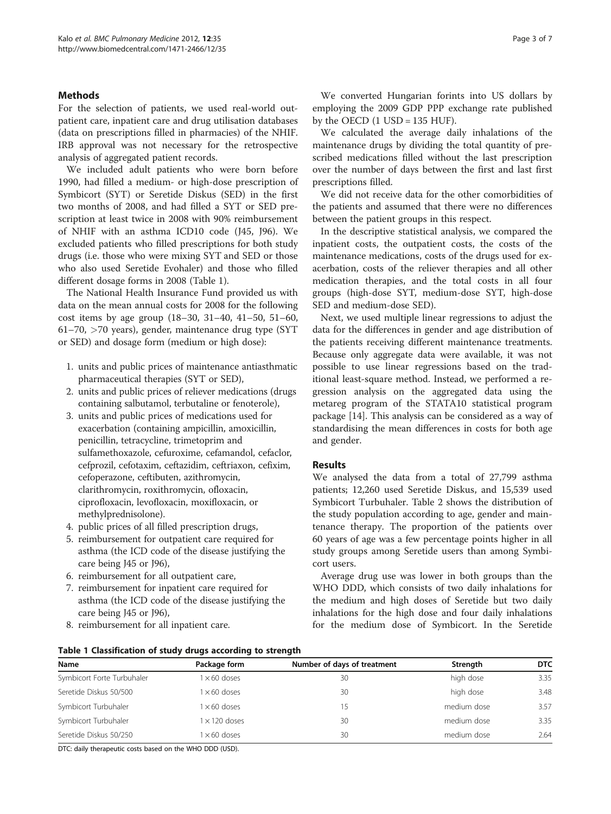## **Methods**

For the selection of patients, we used real-world outpatient care, inpatient care and drug utilisation databases (data on prescriptions filled in pharmacies) of the NHIF. IRB approval was not necessary for the retrospective analysis of aggregated patient records.

We included adult patients who were born before 1990, had filled a medium- or high-dose prescription of Symbicort (SYT) or Seretide Diskus (SED) in the first two months of 2008, and had filled a SYT or SED prescription at least twice in 2008 with 90% reimbursement of NHIF with an asthma ICD10 code (J45, J96). We excluded patients who filled prescriptions for both study drugs (i.e. those who were mixing SYT and SED or those who also used Seretide Evohaler) and those who filled different dosage forms in 2008 (Table 1).

The National Health Insurance Fund provided us with data on the mean annual costs for 2008 for the following cost items by age group (18–30, 31–40, 41–50, 51–60, 61–70, >70 years), gender, maintenance drug type (SYT or SED) and dosage form (medium or high dose):

- 1. units and public prices of maintenance antiasthmatic pharmaceutical therapies (SYT or SED),
- 2. units and public prices of reliever medications (drugs containing salbutamol, terbutaline or fenoterole),
- 3. units and public prices of medications used for exacerbation (containing ampicillin, amoxicillin, penicillin, tetracycline, trimetoprim and sulfamethoxazole, cefuroxime, cefamandol, cefaclor, cefprozil, cefotaxim, ceftazidim, ceftriaxon, cefixim, cefoperazone, ceftibuten, azithromycin, clarithromycin, roxithromycin, ofloxacin, ciprofloxacin, levofloxacin, moxifloxacin, or methylprednisolone).
- 4. public prices of all filled prescription drugs,
- 5. reimbursement for outpatient care required for asthma (the ICD code of the disease justifying the care being J45 or J96),
- 6. reimbursement for all outpatient care,
- 7. reimbursement for inpatient care required for asthma (the ICD code of the disease justifying the care being J45 or J96),

Table 1 Classification of study drugs according to strength

8. reimbursement for all inpatient care.

We converted Hungarian forints into US dollars by employing the 2009 GDP PPP exchange rate published by the OECD  $(1 \text{ USD} = 135 \text{ HUF}).$ 

We calculated the average daily inhalations of the maintenance drugs by dividing the total quantity of prescribed medications filled without the last prescription over the number of days between the first and last first prescriptions filled.

We did not receive data for the other comorbidities of the patients and assumed that there were no differences between the patient groups in this respect.

In the descriptive statistical analysis, we compared the inpatient costs, the outpatient costs, the costs of the maintenance medications, costs of the drugs used for exacerbation, costs of the reliever therapies and all other medication therapies, and the total costs in all four groups (high-dose SYT, medium-dose SYT, high-dose SED and medium-dose SED).

Next, we used multiple linear regressions to adjust the data for the differences in gender and age distribution of the patients receiving different maintenance treatments. Because only aggregate data were available, it was not possible to use linear regressions based on the traditional least-square method. Instead, we performed a regression analysis on the aggregated data using the metareg program of the STATA10 statistical program package [\[14](#page-5-0)]. This analysis can be considered as a way of standardising the mean differences in costs for both age and gender.

## Results

We analysed the data from a total of 27,799 asthma patients; 12,260 used Seretide Diskus, and 15,539 used Symbicort Turbuhaler. Table [2](#page-3-0) shows the distribution of the study population according to age, gender and maintenance therapy. The proportion of the patients over 60 years of age was a few percentage points higher in all study groups among Seretide users than among Symbicort users.

Average drug use was lower in both groups than the WHO DDD, which consists of two daily inhalations for the medium and high doses of Seretide but two daily inhalations for the high dose and four daily inhalations for the medium dose of Symbicort. In the Seretide

| Name                       | Package form         | Number of days of treatment | Strength    | <b>DTC</b> |
|----------------------------|----------------------|-----------------------------|-------------|------------|
| Symbicort Forte Turbuhaler | $1\times 60$ doses   | 30                          | high dose   | 3.35       |
| Seretide Diskus 50/500     | $1\times 60$ doses   | 30                          | high dose   | 3.48       |
| Symbicort Turbuhaler       | $1\times 60$ doses   | 15                          | medium dose | 3.57       |
| Symbicort Turbuhaler       | $1 \times 120$ doses | 30                          | medium dose | 3.35       |
| Seretide Diskus 50/250     | $1\times$ 60 doses   | 30                          | medium dose | 2.64       |

DTC: daily therapeutic costs based on the WHO DDD (USD).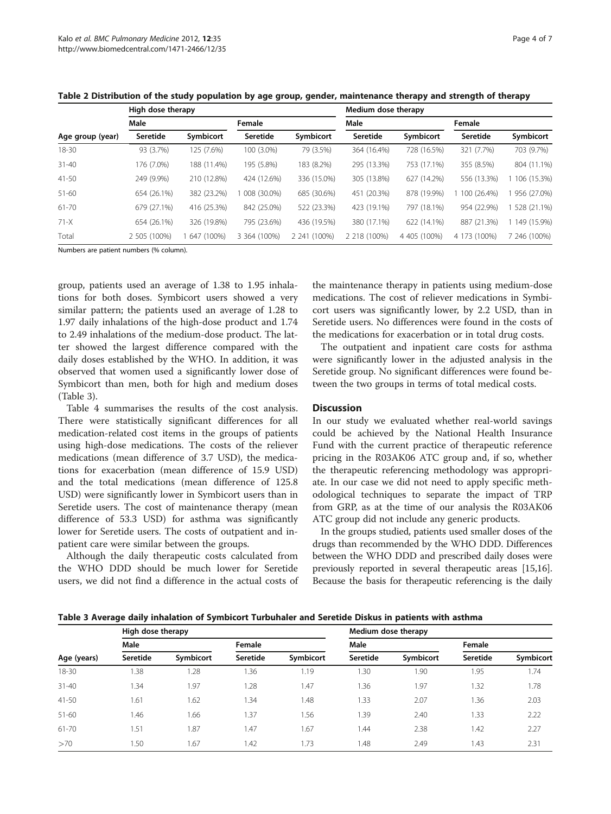|                  | High dose therapy |             |              |              | Medium dose therapy |              |                  |              |  |
|------------------|-------------------|-------------|--------------|--------------|---------------------|--------------|------------------|--------------|--|
|                  | Male              |             | Female       |              | Male                |              | Female           |              |  |
| Age group (year) | Seretide          | Symbicort   | Seretide     | Symbicort    | Seretide            | Symbicort    | Seretide         | Symbicort    |  |
| 18-30            | 93 (3.7%)         | 125 (7.6%)  | 100 (3.0%)   | 79 (3.5%)    | 364 (16.4%)         | 728 (16.5%)  | 321 (7.7%)       | 703 (9.7%)   |  |
| $31 - 40$        | 176 (7.0%)        | 188 (11.4%) | 195 (5.8%)   | 183 (8.2%)   | 295 (13.3%)         | 753 (17.1%)  | 355 (8.5%)       | 804 (11.1%)  |  |
| $41 - 50$        | 249 (9.9%)        | 210 (12.8%) | 424 (12.6%)  | 336 (15.0%)  | 305 (13.8%)         | 627 (14.2%)  | 556 (13.3%)      | 106 (15.3%)  |  |
| $51 - 60$        | 654 (26.1%)       | 382 (23.2%) | 008 (30.0%)  | 685 (30.6%)  | 451 (20.3%)         | 878 (19.9%)  | 1 100 (26.4%)    | 956 (27.0%)  |  |
| 61-70            | 679 (27.1%)       | 416 (25.3%) | 842 (25.0%)  | 522 (23.3%)  | 423 (19.1%)         | 797 (18.1%)  | 954 (22.9%)      | 528 (21.1%)  |  |
| $71-X$           | 654 (26.1%)       | 326 (19.8%) | 795 (23.6%)  | 436 (19.5%)  | 380 (17.1%)         | 622 (14.1%)  | 887 (21.3%)      | 149 (15.9%)  |  |
| Total            | 2 505 (100%)      | 647 (100%)  | 3 364 (100%) | 2 241 (100%) | 2 218 (100%)        | 4 405 (100%) | 173 (100%)<br>41 | 7 246 (100%) |  |

<span id="page-3-0"></span>Table 2 Distribution of the study population by age group, gender, maintenance therapy and strength of therapy

Numbers are patient numbers (% column).

group, patients used an average of 1.38 to 1.95 inhalations for both doses. Symbicort users showed a very similar pattern; the patients used an average of 1.28 to 1.97 daily inhalations of the high-dose product and 1.74 to 2.49 inhalations of the medium-dose product. The latter showed the largest difference compared with the daily doses established by the WHO. In addition, it was observed that women used a significantly lower dose of Symbicort than men, both for high and medium doses (Table 3).

Table [4](#page-4-0) summarises the results of the cost analysis. There were statistically significant differences for all medication-related cost items in the groups of patients using high-dose medications. The costs of the reliever medications (mean difference of 3.7 USD), the medications for exacerbation (mean difference of 15.9 USD) and the total medications (mean difference of 125.8 USD) were significantly lower in Symbicort users than in Seretide users. The cost of maintenance therapy (mean difference of 53.3 USD) for asthma was significantly lower for Seretide users. The costs of outpatient and inpatient care were similar between the groups.

Although the daily therapeutic costs calculated from the WHO DDD should be much lower for Seretide users, we did not find a difference in the actual costs of the maintenance therapy in patients using medium-dose medications. The cost of reliever medications in Symbicort users was significantly lower, by 2.2 USD, than in Seretide users. No differences were found in the costs of the medications for exacerbation or in total drug costs.

The outpatient and inpatient care costs for asthma were significantly lower in the adjusted analysis in the Seretide group. No significant differences were found between the two groups in terms of total medical costs.

## **Discussion**

In our study we evaluated whether real-world savings could be achieved by the National Health Insurance Fund with the current practice of therapeutic reference pricing in the R03AK06 ATC group and, if so, whether the therapeutic referencing methodology was appropriate. In our case we did not need to apply specific methodological techniques to separate the impact of TRP from GRP, as at the time of our analysis the R03AK06 ATC group did not include any generic products.

In the groups studied, patients used smaller doses of the drugs than recommended by the WHO DDD. Differences between the WHO DDD and prescribed daily doses were previously reported in several therapeutic areas [\[15,16](#page-5-0)]. Because the basis for therapeutic referencing is the daily

Table 3 Average daily inhalation of Symbicort Turbuhaler and Seretide Diskus in patients with asthma

| Age (years) | High dose therapy |           |          |           | Medium dose therapy |           |          |           |  |
|-------------|-------------------|-----------|----------|-----------|---------------------|-----------|----------|-----------|--|
|             | Male              |           | Female   |           | Male                |           | Female   |           |  |
|             | Seretide          | Symbicort | Seretide | Symbicort | Seretide            | Symbicort | Seretide | Symbicort |  |
| 18-30       | 1.38              | 1.28      | 36،      | 1.19      | .30                 | 1.90      | 1.95     | 1.74      |  |
| $31 - 40$   | 1.34              | 1.97      | 1.28     | 1.47      | .36                 | 1.97      | 1.32     | 1.78      |  |
| 41-50       | 1.61              | 1.62      | 1.34     | 1.48      | .33                 | 2.07      | 1.36     | 2.03      |  |
| $51 - 60$   | 1.46              | 1.66      | 1.37     | 1.56      | .39                 | 2.40      | 1.33     | 2.22      |  |
| 61-70       | 1.51              | 1.87      | 1.47     | 1.67      | 1.44                | 2.38      | 1.42     | 2.27      |  |
| >70         | 1.50              | 1.67      | 1.42     | 1.73      | 1.48                | 2.49      | 1.43     | 2.31      |  |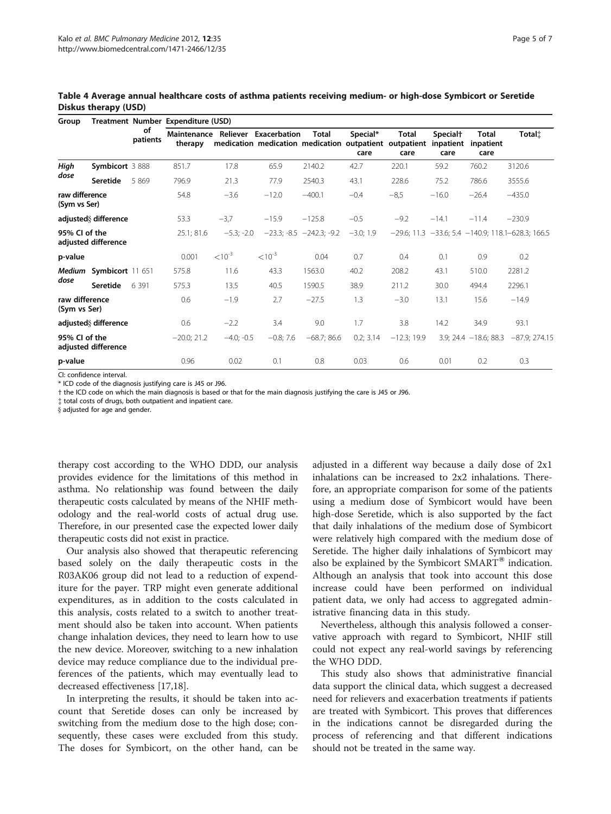| Group                          |                         | оf<br>patients | Treatment Number Expenditure (USD) |              |                                                                                                     |                            |                  |               |                              |                          |                                                            |
|--------------------------------|-------------------------|----------------|------------------------------------|--------------|-----------------------------------------------------------------------------------------------------|----------------------------|------------------|---------------|------------------------------|--------------------------|------------------------------------------------------------|
|                                |                         |                | Maintenance<br>therapy             |              | Reliever Exacerbation<br>medication medication medication outpatient outpatient inpatient inpatient | Total                      | Special*<br>care | Total<br>care | Special <sup>+</sup><br>care | <b>Total</b><br>care     | <b>Total</b> <sup>t</sup>                                  |
| High                           | Symbicort 3888          |                | 851.7                              | 17.8         | 65.9                                                                                                | 2140.2                     | 42.7             | 220.1         | 59.2                         | 760.2                    | 3120.6                                                     |
| dose                           | Seretide                | 5 8 6 9        | 796.9                              | 21.3         | 77.9                                                                                                | 2540.3                     | 43.1             | 228.6         | 75.2                         | 786.6                    | 3555.6                                                     |
| raw difference<br>(Sym vs Ser) |                         |                | 54.8                               | $-3.6$       | $-12.0$                                                                                             | $-400.1$                   | $-0.4$           | $-8,5$        | $-16.0$                      | $-26.4$                  | $-435.0$                                                   |
|                                | adjusted§ difference    |                | 53.3                               | $-3,7$       | $-15.9$                                                                                             | $-125.8$                   | $-0.5$           | $-9.2$        | $-14.1$                      | $-11.4$                  | $-230.9$                                                   |
| 95% CI of the                  | adjusted difference     |                | 25.1; 81.6                         | $-5.3: -2.0$ |                                                                                                     | $-23.3; -8.5 -242.3; -9.2$ | $-3.0; 1.9$      |               |                              |                          | $-29.6$ ; 11.3 $-33.6$ ; 5.4 $-140.9$ ; 118.1-628.3; 166.5 |
| p-value                        |                         |                | 0.001                              | $< 10^{-3}$  | $< 10^{-3}$                                                                                         | 0.04                       | 0.7              | 0.4           | 0.1                          | 0.9                      | 0.2                                                        |
|                                | Medium Symbicort 11 651 |                | 575.8                              | 11.6         | 43.3                                                                                                | 1563.0                     | 40.2             | 208.2         | 43.1                         | 510.0                    | 2281.2                                                     |
| dose                           | Seretide                | 6 3 9 1        | 575.3                              | 13.5         | 40.5                                                                                                | 1590.5                     | 38.9             | 211.2         | 30.0                         | 494.4                    | 2296.1                                                     |
| raw difference<br>(Sym vs Ser) |                         |                | 0.6                                | $-1.9$       | 2.7                                                                                                 | $-27.5$                    | 1.3              | $-3.0$        | 13.1                         | 15.6                     | $-14.9$                                                    |
|                                | adjusted§ difference    |                | 0.6                                | $-2.2$       | 3.4                                                                                                 | 9.0                        | 1.7              | 3.8           | 14.2                         | 34.9                     | 93.1                                                       |
| 95% CI of the                  | adjusted difference     |                | $-20.0; 21.2$                      | $-4.0; -0.5$ | $-0.8; 7.6$                                                                                         | $-68.7;86.6$               | 0.2; 3.14        | $-12.3; 19.9$ |                              | $3.9; 24.4 - 18.6; 88.3$ | $-87.9:274.15$                                             |
| p-value                        |                         |                | 0.96                               | 0.02         | 0.1                                                                                                 | 0.8                        | 0.03             | 0.6           | 0.01                         | 0.2                      | 0.3                                                        |

<span id="page-4-0"></span>Table 4 Average annual healthcare costs of asthma patients receiving medium- or high-dose Symbicort or Seretide Diskus therapy (USD)

CI: confidence interval.

\* ICD code of the diagnosis justifying care is J45 or J96.

† the ICD code on which the main diagnosis is based or that for the main diagnosis justifying the care is J45 or J96.

{ total costs of drugs, both outpatient and inpatient care.

§ adjusted for age and gender.

therapy cost according to the WHO DDD, our analysis provides evidence for the limitations of this method in asthma. No relationship was found between the daily therapeutic costs calculated by means of the NHIF methodology and the real-world costs of actual drug use. Therefore, in our presented case the expected lower daily therapeutic costs did not exist in practice.

Our analysis also showed that therapeutic referencing based solely on the daily therapeutic costs in the R03AK06 group did not lead to a reduction of expenditure for the payer. TRP might even generate additional expenditures, as in addition to the costs calculated in this analysis, costs related to a switch to another treatment should also be taken into account. When patients change inhalation devices, they need to learn how to use the new device. Moreover, switching to a new inhalation device may reduce compliance due to the individual preferences of the patients, which may eventually lead to decreased effectiveness [[17,](#page-5-0)[18\]](#page-6-0).

In interpreting the results, it should be taken into account that Seretide doses can only be increased by switching from the medium dose to the high dose; consequently, these cases were excluded from this study. The doses for Symbicort, on the other hand, can be

adjusted in a different way because a daily dose of 2x1 inhalations can be increased to 2x2 inhalations. Therefore, an appropriate comparison for some of the patients using a medium dose of Symbicort would have been high-dose Seretide, which is also supported by the fact that daily inhalations of the medium dose of Symbicort were relatively high compared with the medium dose of Seretide. The higher daily inhalations of Symbicort may also be explained by the Symbicort SMART $^{\circledR}$  indication. Although an analysis that took into account this dose increase could have been performed on individual patient data, we only had access to aggregated administrative financing data in this study.

Nevertheless, although this analysis followed a conservative approach with regard to Symbicort, NHIF still could not expect any real-world savings by referencing the WHO DDD.

This study also shows that administrative financial data support the clinical data, which suggest a decreased need for relievers and exacerbation treatments if patients are treated with Symbicort. This proves that differences in the indications cannot be disregarded during the process of referencing and that different indications should not be treated in the same way.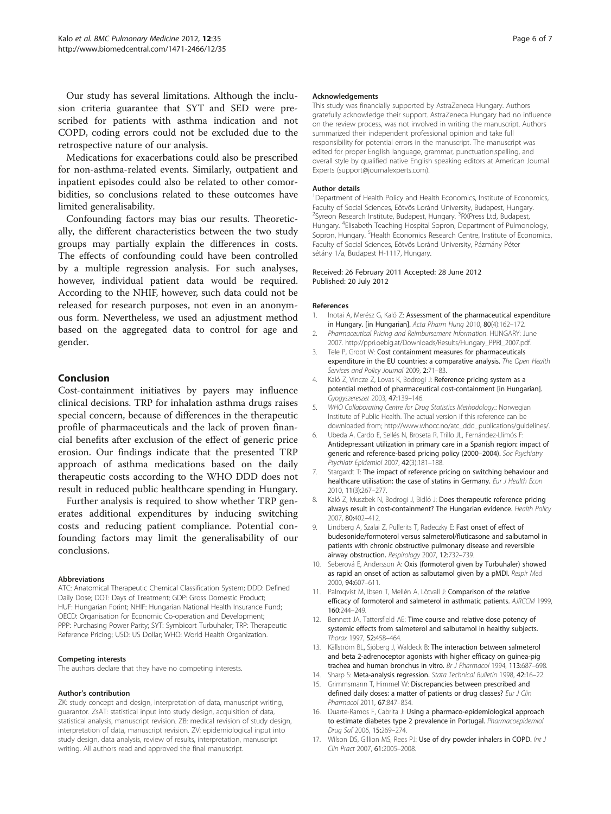<span id="page-5-0"></span>Our study has several limitations. Although the inclusion criteria guarantee that SYT and SED were prescribed for patients with asthma indication and not COPD, coding errors could not be excluded due to the retrospective nature of our analysis.

Medications for exacerbations could also be prescribed for non-asthma-related events. Similarly, outpatient and inpatient episodes could also be related to other comorbidities, so conclusions related to these outcomes have limited generalisability.

Confounding factors may bias our results. Theoretically, the different characteristics between the two study groups may partially explain the differences in costs. The effects of confounding could have been controlled by a multiple regression analysis. For such analyses, however, individual patient data would be required. According to the NHIF, however, such data could not be released for research purposes, not even in an anonymous form. Nevertheless, we used an adjustment method based on the aggregated data to control for age and gender.

## Conclusion

Cost-containment initiatives by payers may influence clinical decisions. TRP for inhalation asthma drugs raises special concern, because of differences in the therapeutic profile of pharmaceuticals and the lack of proven financial benefits after exclusion of the effect of generic price erosion. Our findings indicate that the presented TRP approach of asthma medications based on the daily therapeutic costs according to the WHO DDD does not result in reduced public healthcare spending in Hungary.

Further analysis is required to show whether TRP generates additional expenditures by inducing switching costs and reducing patient compliance. Potential confounding factors may limit the generalisability of our conclusions.

#### Abbreviations

ATC: Anatomical Therapeutic Chemical Classification System; DDD: Defined Daily Dose; DOT: Days of Treatment; GDP: Gross Domestic Product; HUF: Hungarian Forint; NHIF: Hungarian National Health Insurance Fund; OECD: Organisation for Economic Co-operation and Development; PPP: Purchasing Power Parity; SYT: Symbicort Turbuhaler; TRP: Therapeutic Reference Pricing; USD: US Dollar; WHO: World Health Organization.

#### Competing interests

The authors declare that they have no competing interests.

#### Author's contribution

ZK: study concept and design, interpretation of data, manuscript writing, guarantor. ZsAT: statistical input into study design, acquisition of data, statistical analysis, manuscript revision. ZB: medical revision of study design, interpretation of data, manuscript revision. ZV: epidemiological input into study design, data analysis, review of results, interpretation, manuscript writing. All authors read and approved the final manuscript.

#### Acknowledgements

This study was financially supported by AstraZeneca Hungary. Authors gratefully acknowledge their support. AstraZeneca Hungary had no influence on the review process, was not involved in writing the manuscript. Authors summarized their independent professional opinion and take full responsibility for potential errors in the manuscript. The manuscript was edited for proper English language, grammar, punctuation,spelling, and overall style by qualified native English speaking editors at American Journal Experts (support@journalexperts.com).

#### Author details

<sup>1</sup>Department of Health Policy and Health Economics, Institute of Economics, Faculty of Social Sciences, Eötvös Loránd University, Budapest, Hungary. <sup>2</sup>Syreon Research Institute, Budapest, Hungary. <sup>3</sup>RXPress Ltd, Budapest Hungary. <sup>4</sup> Elisabeth Teaching Hospital Sopron, Department of Pulmonology, Sopron, Hungary. <sup>5</sup> Health Economics Research Centre, Institute of Economics, Faculty of Social Sciences, Eötvös Loránd University, Pázmány Péter sétány 1/a, Budapest H-1117, Hungary.

#### Received: 26 February 2011 Accepted: 28 June 2012 Published: 20 July 2012

#### References

- 1. Inotai A, Merész G, Kaló Z: Assessment of the pharmaceutical expenditure in Hungary. [in Hungarian]. Acta Pharm Hung 2010, 80(4):162–172.
- 2. Pharmaceutical Pricing and Reimbursement Information. HUNGARY: June 2007. [http://ppri.oebig.at/Downloads/Results/Hungary\\_PPRI\\_2007.pdf.](http://ppri.oebig.at/Downloads/Results/Hungary_PPRI_2007.pdf)
- 3. Tele P, Groot W: Cost containment measures for pharmaceuticals expenditure in the EU countries: a comparative analysis. The Open Health Services and Policy Journal 2009, 2:71–83.
- 4. Kaló Z, Vincze Z, Lovas K, Bodrogi J: Reference pricing system as a potential method of pharmaceutical cost-containment [in Hungarian]. Gyogyszereszet 2003, 47:139–146.
- WHO Collaborating Centre for Drug Statistics Methodology.: Norwegian Institute of Public Health. The actual version if this reference can be downloaded from; [http://www.whocc.no/atc\\_ddd\\_publications/guidelines/.](http://www.whocc.no/atc_ddd_publications/guidelines/)
- 6. Ubeda A, Cardo E, Sellés N, Broseta R, Trillo JL, Fernández-Llimós F: Antidepressant utilization in primary care in a Spanish region: impact of generic and reference-based pricing policy (2000–2004). Soc Psychiatry Psychiatr Epidemiol 2007, 42(3):181–188.
- 7. Stargardt T: The impact of reference pricing on switching behaviour and healthcare utilisation: the case of statins in Germany. Eur J Health Econ 2010, 11(3):267–277.
- 8. Kaló Z, Muszbek N, Bodrogi J, Bidló J: Does therapeutic reference pricing always result in cost-containment? The Hungarian evidence. Health Policy 2007, 80:402–412.
- 9. Lindberg A, Szalai Z, Pullerits T, Radeczky E: Fast onset of effect of budesonide/formoterol versus salmeterol/fluticasone and salbutamol in patients with chronic obstructive pulmonary disease and reversible airway obstruction. Respirology 2007, 12:732–739.
- 10. Seberová E, Andersson A: Oxis (formoterol given by Turbuhaler) showed as rapid an onset of action as salbutamol given by a pMDI. Respir Med 2000, 94:607–611.
- 11. Palmqvist M, Ibsen T, Mellén A, Lötvall J: Comparison of the relative efficacy of formoterol and salmeterol in asthmatic patients. AJRCCM 1999, 160:244–249.
- 12. Bennett JA, Tattersfield AE: Time course and relative dose potency of systemic effects from salmeterol and salbutamol in healthy subjects. Thorax 1997, 52:458–464.
- 13. Källström BL, Sjöberg J, Waldeck B: The interaction between salmeterol and beta 2-adrenoceptor agonists with higher efficacy on guinea-pig trachea and human bronchus in vitro. Br J Pharmacol 1994, 113:687–698.
- 14. Sharp S: Meta-analysis regression. Stata Technical Bulletin 1998, 42:16-22.
- 15. Grimmsmann T, Himmel W: Discrepancies between prescribed and defined daily doses: a matter of patients or drug classes? Eur J Clin Pharmacol 2011, 67:847–854.
- 16. Duarte-Ramos F, Cabrita J: Using a pharmaco-epidemiological approach to estimate diabetes type 2 prevalence in Portugal. Pharmacoepidemiol Drug Saf 2006, 15:269–274.
- 17. Wilson DS, Gillion MS, Rees PJ: Use of dry powder inhalers in COPD. Int J Clin Pract 2007, 61:2005–2008.